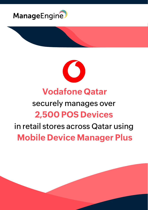



# **Vodafone Qatar**

## securely manages over **2,500 POS Devices**

# in retail stores across Qatar using **Mobile Device Manager Plus**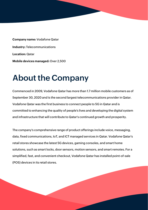**Company name:** Vodafone Qatar **Industry:** Telecommunications **Location:** Qatar **Mobile devices managed:** Over 2,500

#### **About the Company**

Commenced in 2009, Vodafone Qatar has more than 1.7 million mobile customers as of September 30, 2020 and is the second largest telecommunications provider in Qatar. Vodafone Qatar was the first business to connect people to 5G in Qatar and is committed to enhancing the quality of people's lives and developing the digital system and infrastructure that will contribute to Qatar's continued growth and prosperity.

The company's comprehensive range of product offerings include voice, messaging, data, fixed communications, IoT, and ICT managed services in Qatar. Vodafone Qatar's retail stores showcase the latest 5G devices, gaming consoles, and smart home solutions, such as smart locks, door sensors, motion sensors, and smart remotes. For a simplified, fast, and convenient checkout, Vodafone Qatar has installed point-of-sale (POS) devices in its retail stores.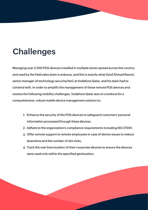# **Challenges**

Managing over 2,500 POS devices installed in multiple stores spread across the country and used by the field sales team is arduous, and this is exactly what Syed Ahmad Rasool, senior manager of technology security/HoC at Vodafone Qatar, and his team had to contend with. In order to simplify the management of these remote POS devices and resolve the following mobility challenges, Vodafone Qatar was on a lookout for a comprehensive, robust mobile device management solution to:

- Enhance the security of the POS devices to safeguard customers' personal 1. information processed through these devices.
- 2. Adhere to the organization's compliance requirements including ISO 27001.
- Offer remote support to remote employees in case of device issues to reduce 3. downtime and the number of site visits.
- Track the real-time location of their corporate devices to ensure the devices 4.were used only within the specified geolocation.